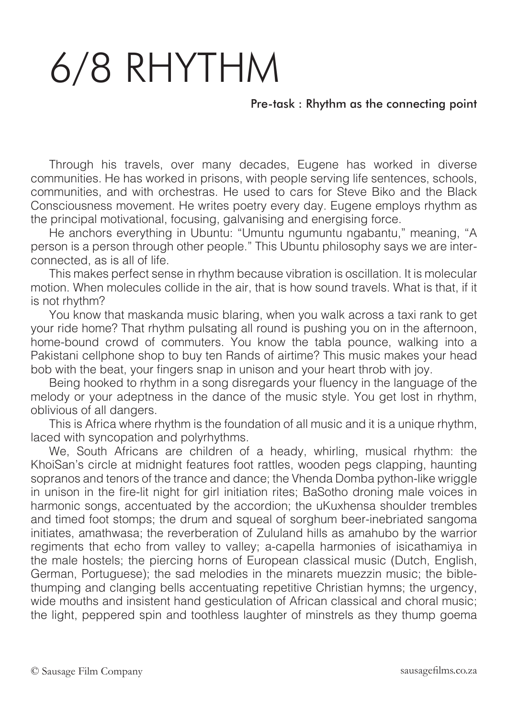## 6/8 RHYTHM

## Pre-task : Rhythm as the connecting point

Through his travels, over many decades, Eugene has worked in diverse communities. He has worked in prisons, with people serving life sentences, schools, communities, and with orchestras. He used to cars for Steve Biko and the Black Consciousness movement. He writes poetry every day. Eugene employs rhythm as the principal motivational, focusing, galvanising and energising force.

He anchors everything in Ubuntu: "Umuntu ngumuntu ngabantu," meaning, "A person is a person through other people." This Ubuntu philosophy says we are interconnected, as is all of life.

This makes perfect sense in rhythm because vibration is oscillation. It is molecular motion. When molecules collide in the air, that is how sound travels. What is that, if it is not rhythm?

You know that maskanda music blaring, when you walk across a taxi rank to get your ride home? That rhythm pulsating all round is pushing you on in the afternoon, home-bound crowd of commuters. You know the tabla pounce, walking into a Pakistani cellphone shop to buy ten Rands of airtime? This music makes your head bob with the beat, your fingers snap in unison and your heart throb with joy.

Being hooked to rhythm in a song disregards your fluency in the language of the melody or your adeptness in the dance of the music style. You get lost in rhythm, oblivious of all dangers.

This is Africa where rhythm is the foundation of all music and it is a unique rhythm, laced with syncopation and polyrhythms.

We, South Africans are children of a heady, whirling, musical rhythm: the KhoiSan's circle at midnight features foot rattles, wooden pegs clapping, haunting sopranos and tenors of the trance and dance; the Vhenda Domba python-like wriggle in unison in the fire-lit night for girl initiation rites; BaSotho droning male voices in harmonic songs, accentuated by the accordion; the uKuxhensa shoulder trembles and timed foot stomps; the drum and squeal of sorghum beer-inebriated sangoma initiates, amathwasa; the reverberation of Zululand hills as amahubo by the warrior regiments that echo from valley to valley; a-capella harmonies of isicathamiya in the male hostels; the piercing horns of European classical music (Dutch, English, German, Portuguese); the sad melodies in the minarets muezzin music; the biblethumping and clanging bells accentuating repetitive Christian hymns; the urgency, wide mouths and insistent hand gesticulation of African classical and choral music; the light, peppered spin and toothless laughter of minstrels as they thump goema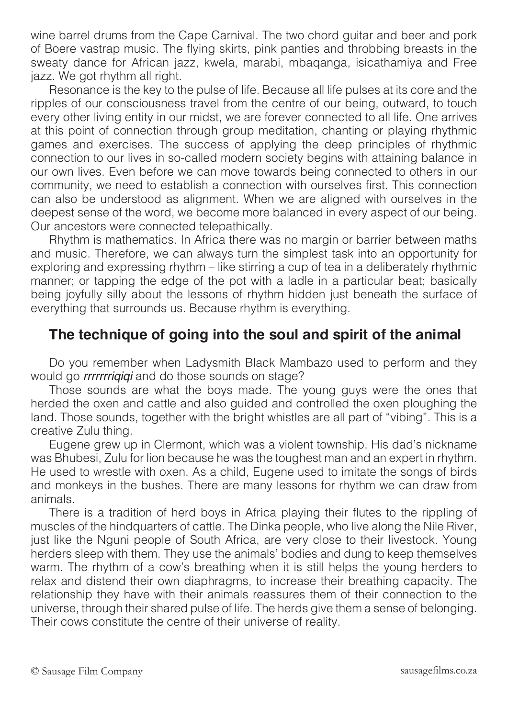wine barrel drums from the Cape Carnival. The two chord guitar and beer and pork of Boere vastrap music. The flying skirts, pink panties and throbbing breasts in the sweaty dance for African jazz, kwela, marabi, mbaqanga, isicathamiya and Free jazz. We got rhythm all right.

Resonance is the key to the pulse of life. Because all life pulses at its core and the ripples of our consciousness travel from the centre of our being, outward, to touch every other living entity in our midst, we are forever connected to all life. One arrives at this point of connection through group meditation, chanting or playing rhythmic games and exercises. The success of applying the deep principles of rhythmic connection to our lives in so-called modern society begins with attaining balance in our own lives. Even before we can move towards being connected to others in our community, we need to establish a connection with ourselves first. This connection can also be understood as alignment. When we are aligned with ourselves in the deepest sense of the word, we become more balanced in every aspect of our being. Our ancestors were connected telepathically.

Rhythm is mathematics. In Africa there was no margin or barrier between maths and music. Therefore, we can always turn the simplest task into an opportunity for exploring and expressing rhythm – like stirring a cup of tea in a deliberately rhythmic manner; or tapping the edge of the pot with a ladle in a particular beat; basically being joyfully silly about the lessons of rhythm hidden just beneath the surface of everything that surrounds us. Because rhythm is everything.

## **The technique of going into the soul and spirit of the animal**

Do you remember when Ladysmith Black Mambazo used to perform and they would go *rrrrrrriqiqi* and do those sounds on stage?

Those sounds are what the boys made. The young guys were the ones that herded the oxen and cattle and also guided and controlled the oxen ploughing the land. Those sounds, together with the bright whistles are all part of "vibing". This is a creative Zulu thing.

Eugene grew up in Clermont, which was a violent township. His dad's nickname was Bhubesi, Zulu for lion because he was the toughest man and an expert in rhythm. He used to wrestle with oxen. As a child, Eugene used to imitate the songs of birds and monkeys in the bushes. There are many lessons for rhythm we can draw from animals.

There is a tradition of herd boys in Africa playing their flutes to the rippling of muscles of the hindquarters of cattle. The Dinka people, who live along the Nile River, just like the Nguni people of South Africa, are very close to their livestock. Young herders sleep with them. They use the animals' bodies and dung to keep themselves warm. The rhythm of a cow's breathing when it is still helps the young herders to relax and distend their own diaphragms, to increase their breathing capacity. The relationship they have with their animals reassures them of their connection to the universe, through their shared pulse of life. The herds give them a sense of belonging. Their cows constitute the centre of their universe of reality.